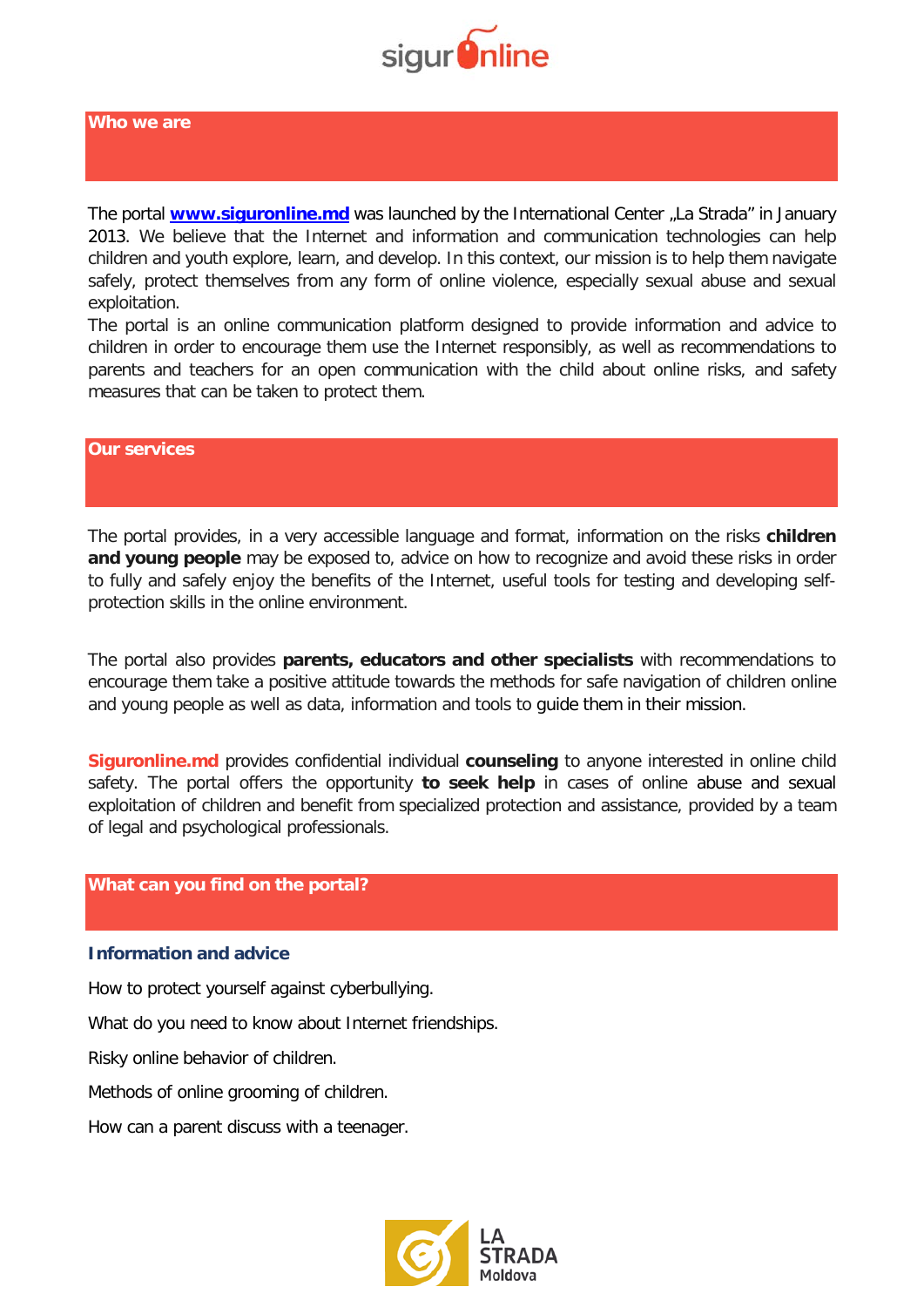

The portal **[www.siguronline.md](http://www.siguronline.md/)** was launched by the International Center "La Strada" in January 2013. We believe that the Internet and information and communication technologies can help children and youth explore, learn, and develop. In this context, our mission is to help them navigate safely, protect themselves from any form of online violence, especially sexual abuse and sexual exploitation.

The portal is an online communication platform designed to provide information and advice to children in order to encourage them use the Internet responsibly, as well as recommendations to parents and teachers for an open communication with the child about online risks, and safety measures that can be taken to protect them.

## **Our services**

The portal provides, in a very accessible language and format, information on the risks **children**  and young people may be exposed to, advice on how to recognize and avoid these risks in order to fully and safely enjoy the benefits of the Internet, useful tools for testing and developing selfprotection skills in the online environment.

The portal also provides **parents, educators and other specialists** with recommendations to encourage them take a positive attitude towards the methods for safe navigation of children online and young people as well as data, information and tools to guide them in their mission.

**Siguronline.md** provides confidential individual **counseling** to anyone interested in online child safety. The portal offers the opportunity **to seek help** in cases of online abuse and sexual exploitation of children and benefit from specialized protection and assistance, provided by a team of legal and psychological professionals.

## **What can you find on the portal?**

#### **Information and advice**

How to protect yourself against cyberbullying.

What do you need to know about Internet friendships.

Risky online behavior of children.

Methods of online grooming of children.

How can a parent discuss with a teenager.

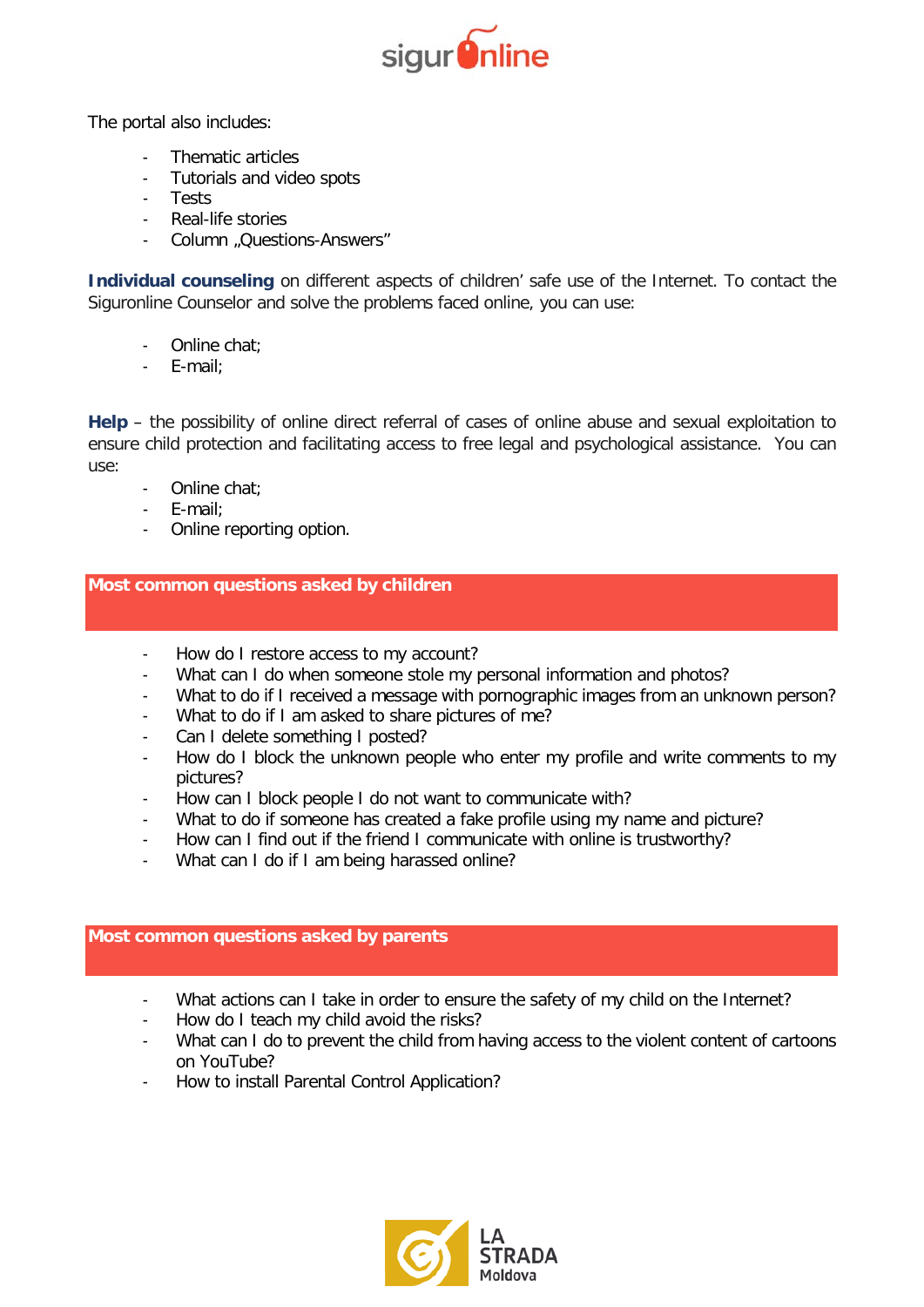

The portal also includes:

- Thematic articles
- Tutorials and video spots
- Tests
- Real-life stories
- Column "Questions-Answers"

**Individual counseling** on different aspects of children' safe use of the Internet. To contact the Siguronline Counselor and solve the problems faced online, you can use:

- Online chat;
- E-mail;

**Help** – the possibility of online direct referral of cases of online abuse and sexual exploitation to ensure child protection and facilitating access to free legal and psychological assistance. You can use:

- Online chat;
- E-mail;
- Online reporting option.

**Most common questions asked by children**

- How do I restore access to my account?
- What can I do when someone stole my personal information and photos?
- What to do if I received a message with pornographic images from an unknown person?
- What to do if I am asked to share pictures of me?
- Can I delete something I posted?
- How do I block the unknown people who enter my profile and write comments to my pictures?
- How can I block people I do not want to communicate with?
- What to do if someone has created a fake profile using my name and picture?
- How can I find out if the friend I communicate with online is trustworthy?
- What can I do if I am being harassed online?

# **Most common questions asked by parents**

- What actions can I take in order to ensure the safety of my child on the Internet?
- How do I teach my child avoid the risks?
- What can I do to prevent the child from having access to the violent content of cartoons on YouTube?
- How to install Parental Control Application?

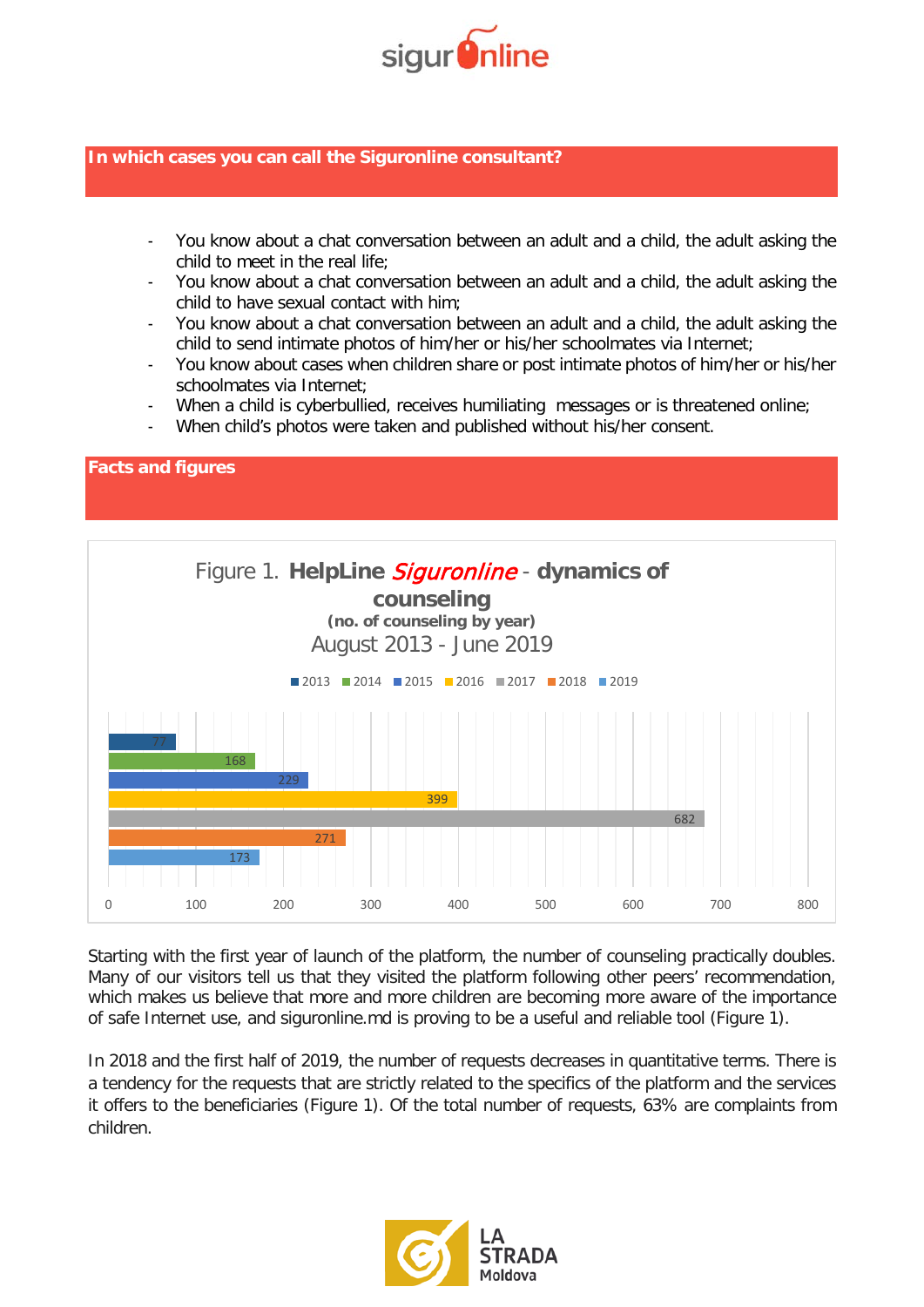

# **In which cases you can call the Siguronline consultant?**

- You know about a chat conversation between an adult and a child, the adult asking the child to meet in the real life;
- You know about a chat conversation between an adult and a child, the adult asking the child to have sexual contact with him;
- You know about a chat conversation between an adult and a child, the adult asking the child to send intimate photos of him/her or his/her schoolmates via Internet;
- You know about cases when children share or post intimate photos of him/her or his/her schoolmates via Internet:
- When a child is cyberbullied, receives humiliating messages or is threatened online;
- When child's photos were taken and published without his/her consent.



Starting with the first year of launch of the platform, the number of counseling practically doubles. Many of our visitors tell us that they visited the platform following other peers' recommendation, which makes us believe that more and more children are becoming more aware of the importance of safe Internet use, and siguronline.md is proving to be a useful and reliable tool (Figure 1).

In 2018 and the first half of 2019, the number of requests decreases in quantitative terms. There is a tendency for the requests that are strictly related to the specifics of the platform and the services it offers to the beneficiaries (Figure 1). Of the total number of requests, 63% are complaints from children.

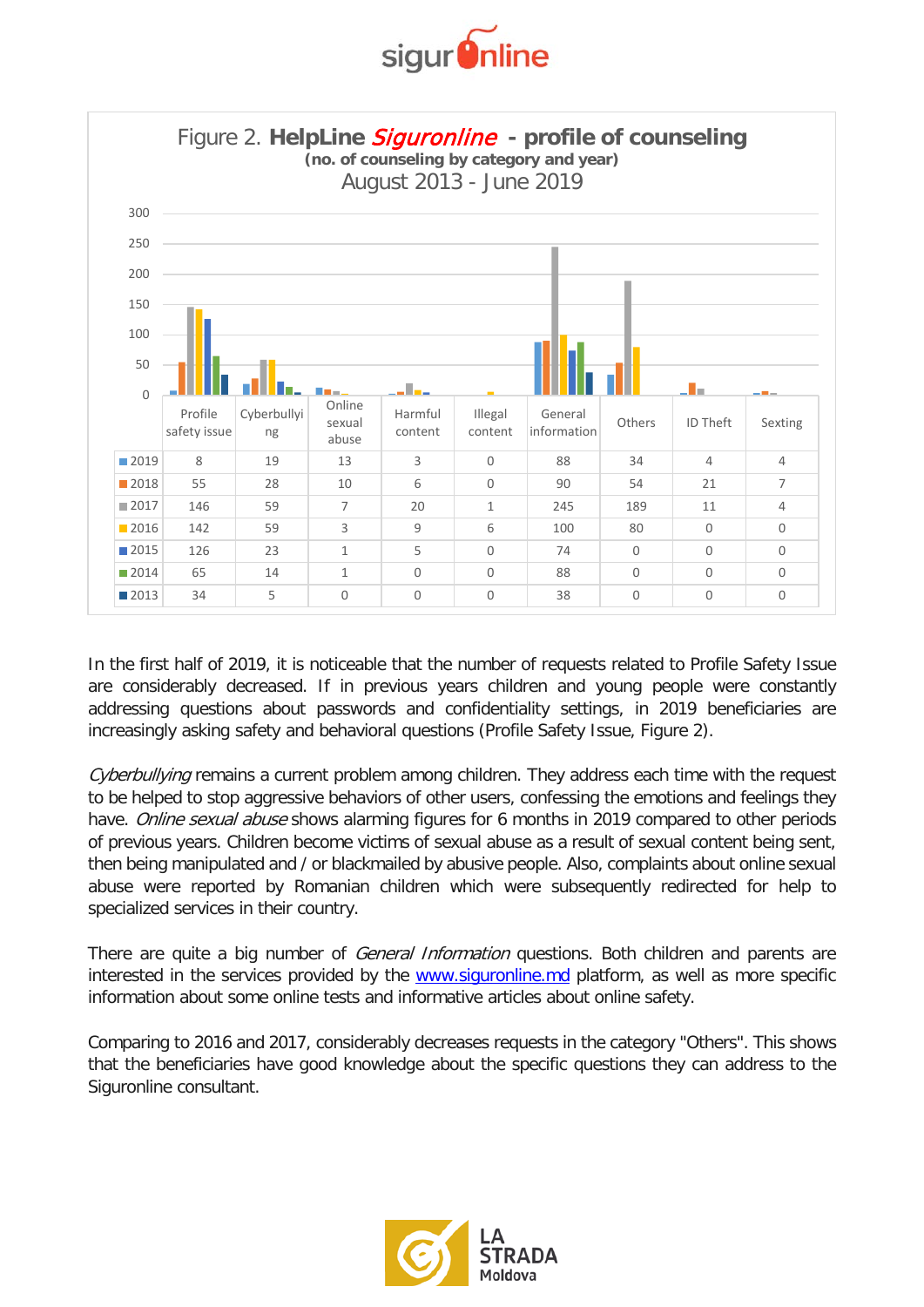



In the first half of 2019, it is noticeable that the number of requests related to Profile Safety Issue are considerably decreased. If in previous years children and young people were constantly addressing questions about passwords and confidentiality settings, in 2019 beneficiaries are increasingly asking safety and behavioral questions (Profile Safety Issue, Figure 2).

Cyberbullying remains a current problem among children. They address each time with the request to be helped to stop aggressive behaviors of other users, confessing the emotions and feelings they have. Online sexual abuse shows alarming figures for 6 months in 2019 compared to other periods of previous years. Children become victims of sexual abuse as a result of sexual content being sent, then being manipulated and / or blackmailed by abusive people. Also, complaints about online sexual abuse were reported by Romanian children which were subsequently redirected for help to specialized services in their country.

There are quite a big number of *General Information* questions. Both children and parents are interested in the services provided by the www.siguronline.md platform, as well as more specific information about some online tests and informative articles about online safety.

Comparing to 2016 and 2017, considerably decreases requests in the category "Others". This shows that the beneficiaries have good knowledge about the specific questions they can address to the Siguronline consultant.